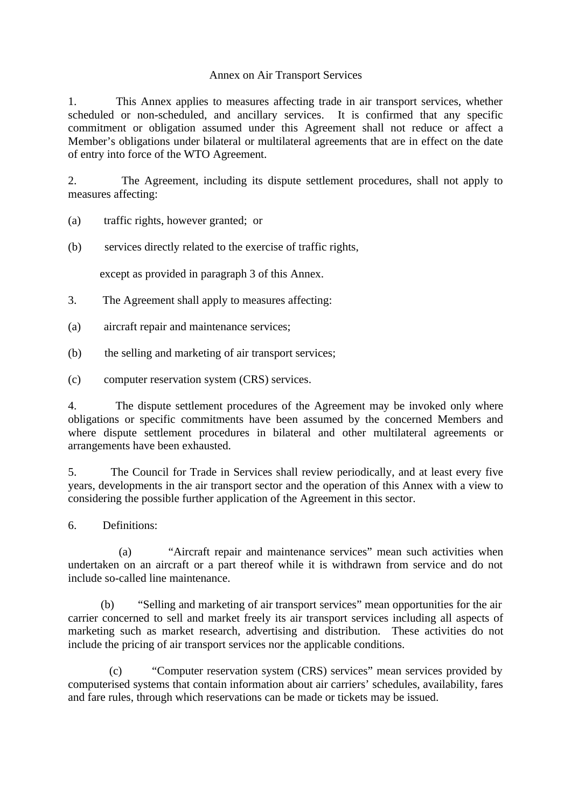## Annex on Air Transport Services

1. This Annex applies to measures affecting trade in air transport services, whether scheduled or non-scheduled, and ancillary services. It is confirmed that any specific commitment or obligation assumed under this Agreement shall not reduce or affect a Member's obligations under bilateral or multilateral agreements that are in effect on the date of entry into force of the WTO Agreement.

2. The Agreement, including its dispute settlement procedures, shall not apply to measures affecting:

- (a) traffic rights, however granted; or
- (b) services directly related to the exercise of traffic rights,

except as provided in paragraph 3 of this Annex.

- 3. The Agreement shall apply to measures affecting:
- (a) aircraft repair and maintenance services;
- (b) the selling and marketing of air transport services;
- (c) computer reservation system (CRS) services.

4. The dispute settlement procedures of the Agreement may be invoked only where obligations or specific commitments have been assumed by the concerned Members and where dispute settlement procedures in bilateral and other multilateral agreements or arrangements have been exhausted.

5. The Council for Trade in Services shall review periodically, and at least every five years, developments in the air transport sector and the operation of this Annex with a view to considering the possible further application of the Agreement in this sector.

6. Definitions:

 (a) "Aircraft repair and maintenance services" mean such activities when undertaken on an aircraft or a part thereof while it is withdrawn from service and do not include so-called line maintenance.

 (b) "Selling and marketing of air transport services" mean opportunities for the air carrier concerned to sell and market freely its air transport services including all aspects of marketing such as market research, advertising and distribution. These activities do not include the pricing of air transport services nor the applicable conditions.

 (c) "Computer reservation system (CRS) services" mean services provided by computerised systems that contain information about air carriers' schedules, availability, fares and fare rules, through which reservations can be made or tickets may be issued.